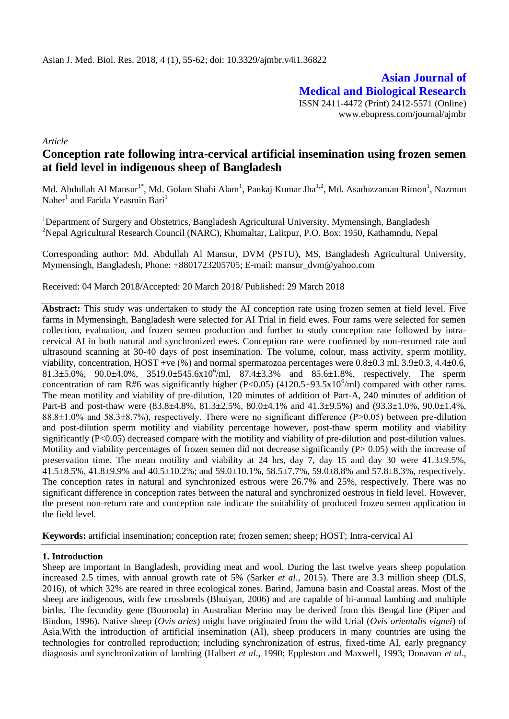**Asian Journal of Medical and Biological Research** ISSN 2411-4472 (Print) 2412-5571 (Online) www.ebupress.com/journal/ajmbr

*Article*

# **Conception rate following intra-cervical artificial insemination using frozen semen at field level in indigenous sheep of Bangladesh**

Md. Abdullah Al Mansur<sup>1\*</sup>, Md. Golam Shahi Alam<sup>1</sup>, Pankaj Kumar Jha<sup>1,2</sup>, Md. Asaduzzaman Rimon<sup>1</sup>, Nazmun Naher<sup>1</sup> and Farida Yeasmin Bari<sup>1</sup>

<sup>1</sup>Department of Surgery and Obstetrics, Bangladesh Agricultural University, Mymensingh, Bangladesh <sup>2</sup>Nepal Agricultural Research Council (NARC), Khumaltar, Lalitpur, P.O. Box: 1950, Kathamndu, Nepal

Corresponding author: Md. Abdullah Al Mansur, DVM (PSTU), MS, Bangladesh Agricultural University, Mymensingh, Bangladesh, Phone: +8801723205705; E-mail: mansur\_dvm@yahoo.com

Received: 04 March 2018/Accepted: 20 March 2018/ Published: 29 March 2018

**Abstract:** This study was undertaken to study the AI conception rate using frozen semen at field level. Five farms in Mymensingh, Bangladesh were selected for AI Trial in field ewes. Four rams were selected for semen collection, evaluation, and frozen semen production and further to study conception rate followed by intracervical AI in both natural and synchronized ewes. Conception rate were confirmed by non-returned rate and ultrasound scanning at 30-40 days of post insemination. The volume, colour, mass activity, sperm motility, viability, concentration, HOST +ve  $(\%)$  and normal spermatozoa percentages were  $0.8\pm0.3$  ml,  $3.9\pm0.3$ ,  $4.4\pm0.6$ ,  $81.3 \pm 5.0\%$ ,  $90.0 \pm 4.0\%$ ,  $3519.0 \pm 545.6 \times 10^6$ /ml,  $87.4 \pm 3.3\%$  and  $85.6 \pm 1.8\%$ , respectively. The sperm concentration of ram R#6 was significantly higher (P<0.05) (4120.5±93.5x10<sup>6</sup>/ml) compared with other rams. The mean motility and viability of pre-dilution, 120 minutes of addition of Part-A, 240 minutes of addition of Part-B and post-thaw were (83.8±4.8%, 81.3±2.5%, 80.0±4.1% and 41.3±9.5%) and (93.3±1.0%, 90.0±1.4%, 88.8 $\pm$ 1.0% and 58.3 $\pm$ 8.7%), respectively. There were no significant difference (P $>$ 0.05) between pre-dilution and post-dilution sperm motility and viability percentage however, post-thaw sperm motility and viability significantly  $(P<0.05)$  decreased compare with the motility and viability of pre-dilution and post-dilution values. Motility and viability percentages of frozen semen did not decrease significantly  $(P> 0.05)$  with the increase of preservation time. The mean motility and viability at 24 hrs, day 7, day 15 and day 30 were 41.3±9.5%, 41.5±8.5%, 41.8±9.9% and 40.5±10.2%; and 59.0±10.1%, 58.5±7.7%, 59.0±8.8% and 57.8±8.3%, respectively. The conception rates in natural and synchronized estrous were 26.7% and 25%, respectively. There was no significant difference in conception rates between the natural and synchronized oestrous in field level. However, the present non-return rate and conception rate indicate the suitability of produced frozen semen application in the field level.

**Keywords:** artificial insemination; conception rate; frozen semen; sheep; HOST; Intra-cervical AI

## **1. Introduction**

Sheep are important in Bangladesh, providing meat and wool. During the last twelve years sheep population increased 2.5 times, with annual growth rate of 5% (Sarker *et al*., 2015). There are 3.3 million sheep (DLS, 2016), of which 32% are reared in three ecological zones. Barind, Jamuna basin and Coastal areas. Most of the sheep are indigenous, with few crossbreds (Bhuiyan, 2006) and are capable of bi-annual lambing and multiple births. The fecundity gene (Booroola) in Australian Merino may be derived from this Bengal line (Piper and Bindon, 1996). Native sheep (*Ovis aries*) might have originated from the wild Urial (*Ovis orientalis vignei*) of Asia.With the introduction of artificial insemination (AI), sheep producers in many countries are using the technologies for controlled reproduction; including synchronization of estrus, fixed-time AI, early pregnancy diagnosis and synchronization of lambing (Halbert *et al*., 1990; Eppleston and Maxwell, 1993; Donavan *et al*.,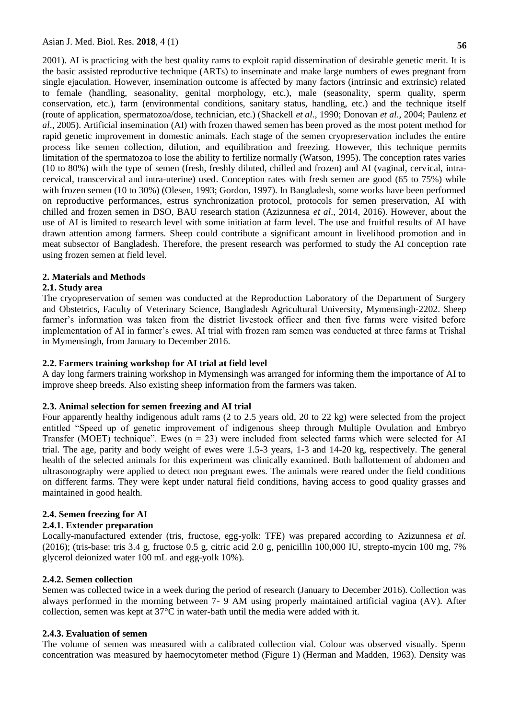2001). AI is practicing with the best quality rams to exploit rapid dissemination of desirable genetic merit. It is the basic assisted reproductive technique (ARTs) to inseminate and make large numbers of ewes pregnant from single ejaculation. However, insemination outcome is affected by many factors (intrinsic and extrinsic) related to female (handling, seasonality, genital morphology, etc.), male (seasonality, sperm quality, sperm conservation, etc.), farm (environmental conditions, sanitary status, handling, etc.) and the technique itself (route of application, spermatozoa/dose, technician, etc.) (Shackell *et al*., 1990; Donovan *et al*., 2004; Paulenz *et al*., 2005). Artificial insemination (AI) with frozen thawed semen has been proved as the most potent method for rapid genetic improvement in domestic animals. Each stage of the semen cryopreservation includes the entire process like semen collection, dilution, and equilibration and freezing. However, this technique permits limitation of the spermatozoa to lose the ability to fertilize normally (Watson, 1995). The conception rates varies (10 to 80%) with the type of semen (fresh, freshly diluted, chilled and frozen) and AI (vaginal, cervical, intracervical, transcervical and intra-uterine) used. Conception rates with fresh semen are good (65 to 75%) while with frozen semen (10 to 30%) (Olesen, 1993; Gordon, 1997). In Bangladesh, some works have been performed on reproductive performances, estrus synchronization protocol, protocols for semen preservation, AI with chilled and frozen semen in DSO, BAU research station (Azizunnesa *et al*., 2014, 2016). However, about the use of AI is limited to research level with some initiation at farm level. The use and fruitful results of AI have drawn attention among farmers. Sheep could contribute a significant amount in livelihood promotion and in meat subsector of Bangladesh. Therefore, the present research was performed to study the AI conception rate using frozen semen at field level.

## **2. Materials and Methods**

#### **2.1. Study area**

The cryopreservation of semen was conducted at the Reproduction Laboratory of the Department of Surgery and Obstetrics, Faculty of Veterinary Science, Bangladesh Agricultural University, Mymensingh-2202. Sheep farmer's information was taken from the district livestock officer and then five farms were visited before implementation of AI in farmer's ewes. AI trial with frozen ram semen was conducted at three farms at Trishal in Mymensingh, from January to December 2016.

#### **2.2. Farmers training workshop for AI trial at field level**

A day long farmers training workshop in Mymensingh was arranged for informing them the importance of AI to improve sheep breeds. Also existing sheep information from the farmers was taken.

## **2.3. Animal selection for semen freezing and AI trial**

Four apparently healthy indigenous adult rams (2 to 2.5 years old, 20 to 22 kg) were selected from the project entitled "Speed up of genetic improvement of indigenous sheep through Multiple Ovulation and Embryo Transfer (MOET) technique". Ewes  $(n = 23)$  were included from selected farms which were selected for AI trial. The age, parity and body weight of ewes were 1.5-3 years, 1-3 and 14-20 kg, respectively. The general health of the selected animals for this experiment was clinically examined. Both ballottement of abdomen and ultrasonography were applied to detect non pregnant ewes. The animals were reared under the field conditions on different farms. They were kept under natural field conditions, having access to good quality grasses and maintained in good health.

## **2.4. Semen freezing for AI**

#### **2.4.1. Extender preparation**

Locally-manufactured extender (tris, fructose, egg-yolk: TFE) was prepared according to Azizunnesa *et al.*  (2016); (tris-base: tris 3.4 g, fructose 0.5 g, citric acid 2.0 g, penicillin 100,000 IU, strepto-mycin 100 mg, 7% glycerol deionized water 100 mL and egg-yolk 10%).

#### **2.4.2. Semen collection**

Semen was collected twice in a week during the period of research (January to December 2016). Collection was always performed in the morning between 7- 9 AM using properly maintained artificial vagina (AV). After collection, semen was kept at 37°C in water-bath until the media were added with it.

## **2.4.3. Evaluation of semen**

The volume of semen was measured with a calibrated collection vial. Colour was observed visually. Sperm concentration was measured by haemocytometer method (Figure 1) (Herman and Madden, 1963). Density was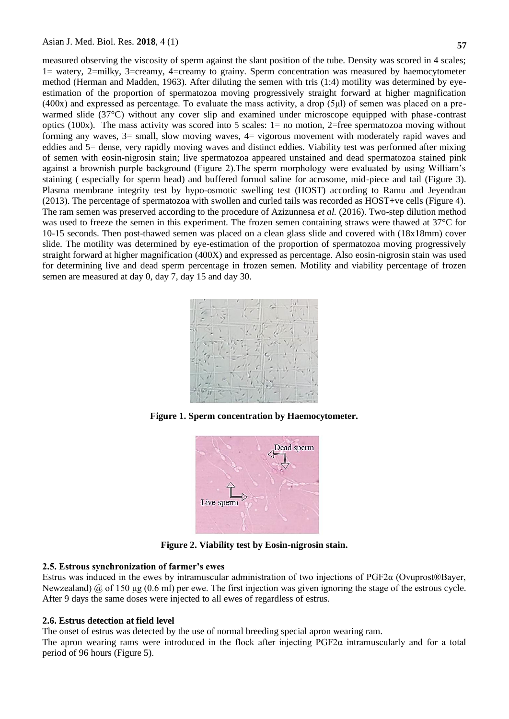**57**

measured observing the viscosity of sperm against the slant position of the tube. Density was scored in 4 scales; 1= watery, 2=milky, 3=creamy, 4=creamy to grainy. Sperm concentration was measured by haemocytometer method (Herman and Madden, 1963). After diluting the semen with tris (1:4) motility was determined by eyeestimation of the proportion of spermatozoa moving progressively straight forward at higher magnification (400x) and expressed as percentage. To evaluate the mass activity, a drop (5μl) of semen was placed on a prewarmed slide (37°C) without any cover slip and examined under microscope equipped with phase-contrast optics (100x). The mass activity was scored into 5 scales:  $1=$  no motion, 2=free spermatozoa moving without forming any waves,  $3=$  small, slow moving waves,  $4=$  vigorous movement with moderately rapid waves and eddies and 5= dense, very rapidly moving waves and distinct eddies. Viability test was performed after mixing of semen with eosin-nigrosin stain; live spermatozoa appeared unstained and dead spermatozoa stained pink against a brownish purple background (Figure 2).The sperm morphology were evaluated by using William's staining ( especially for sperm head) and buffered formol saline for acrosome, mid-piece and tail (Figure 3). Plasma membrane integrity test by hypo-osmotic swelling test (HOST) according to Ramu and Jeyendran (2013). The percentage of spermatozoa with swollen and curled tails was recorded as HOST+ve cells (Figure 4). The ram semen was preserved according to the procedure of Azizunnesa *et al.* (2016). Two-step dilution method was used to freeze the semen in this experiment. The frozen semen containing straws were thawed at 37<sup>°</sup>C for 10-15 seconds. Then post-thawed semen was placed on a clean glass slide and covered with (18x18mm) cover slide. The motility was determined by eye-estimation of the proportion of spermatozoa moving progressively straight forward at higher magnification (400X) and expressed as percentage. Also eosin-nigrosin stain was used for determining live and dead sperm percentage in frozen semen. Motility and viability percentage of frozen semen are measured at day 0, day 7, day 15 and day 30.



**Figure 1. Sperm concentration by Haemocytometer.**



**Figure 2. Viability test by Eosin-nigrosin stain.**

## **2.5. Estrous synchronization of farmer's ewes**

Estrus was induced in the ewes by intramuscular administration of two injections of PGF2α (Ovuprost®Bayer, Newzealand)  $\hat{\omega}$  of 150 µg (0.6 ml) per ewe. The first injection was given ignoring the stage of the estrous cycle. After 9 days the same doses were injected to all ewes of regardless of estrus.

## **2.6. Estrus detection at field level**

The onset of estrus was detected by the use of normal breeding special apron wearing ram.

The apron wearing rams were introduced in the flock after injecting PGF2α intramuscularly and for a total period of 96 hours (Figure 5).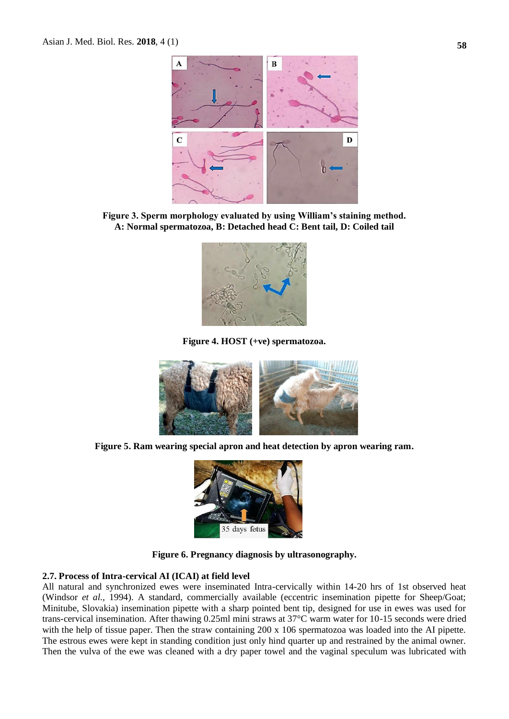

**Figure 3. Sperm morphology evaluated by using William's staining method. A: Normal spermatozoa, B: Detached head C: Bent tail, D: Coiled tail**



**Figure 4. HOST (+ve) spermatozoa.**



**Figure 5. Ram wearing special apron and heat detection by apron wearing ram.**



**Figure 6. Pregnancy diagnosis by ultrasonography.**

#### **2.7. Process of Intra-cervical AI (ICAI) at field level**

All natural and synchronized ewes were inseminated Intra-cervically within 14-20 hrs of 1st observed heat (Windsor *et al.,* 1994). A standard, commercially available (eccentric insemination pipette for Sheep/Goat; Minitube, Slovakia) insemination pipette with a sharp pointed bent tip, designed for use in ewes was used for trans-cervical insemination. After thawing 0.25ml mini straws at 37°C warm water for 10-15 seconds were dried with the help of tissue paper. Then the straw containing 200 x 106 spermatozoa was loaded into the AI pipette. The estrous ewes were kept in standing condition just only hind quarter up and restrained by the animal owner. Then the vulva of the ewe was cleaned with a dry paper towel and the vaginal speculum was lubricated with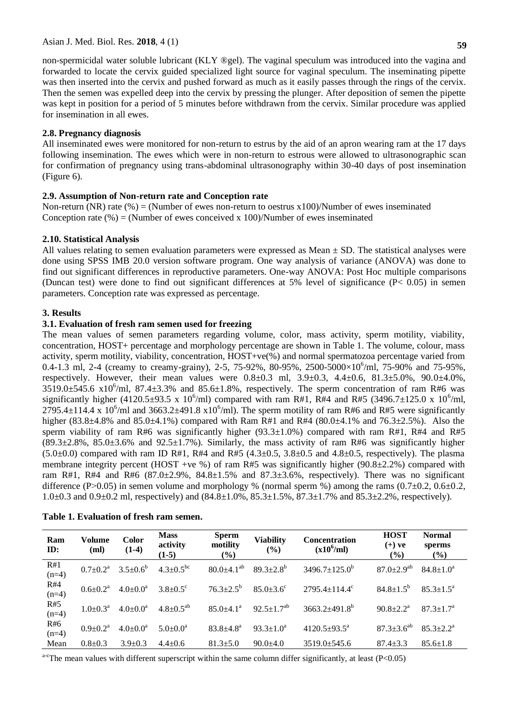non-spermicidal water soluble lubricant (KLY ®gel). The vaginal speculum was introduced into the vagina and forwarded to locate the cervix guided specialized light source for vaginal speculum. The inseminating pipette was then inserted into the cervix and pushed forward as much as it easily passes through the rings of the cervix. Then the semen was expelled deep into the cervix by pressing the plunger. After deposition of semen the pipette was kept in position for a period of 5 minutes before withdrawn from the cervix. Similar procedure was applied for insemination in all ewes.

## **2.8. Pregnancy diagnosis**

All inseminated ewes were monitored for non-return to estrus by the aid of an apron wearing ram at the 17 days following insemination. The ewes which were in non-return to estrous were allowed to ultrasonographic scan for confirmation of pregnancy using trans-abdominal ultrasonography within 30-40 days of post insemination (Figure 6).

## **2.9. Assumption of Non-return rate and Conception rate**

Non-return (NR) rate  $(\%)$  = (Number of ewes non-return to oestrus x100)/Number of ewes inseminated Conception rate (%) = (Number of ewes conceived x 100)/Number of ewes inseminated

## **2.10. Statistical Analysis**

All values relating to semen evaluation parameters were expressed as Mean  $\pm$  SD. The statistical analyses were done using SPSS IMB 20.0 version software program. One way analysis of variance (ANOVA) was done to find out significant differences in reproductive parameters. One-way ANOVA: Post Hoc multiple comparisons (Duncan test) were done to find out significant differences at 5% level of significance (P< 0.05) in semen parameters. Conception rate was expressed as percentage.

## **3. Results**

# **3.1. Evaluation of fresh ram semen used for freezing**

The mean values of semen parameters regarding volume, color, mass activity, sperm motility, viability, concentration, HOST+ percentage and morphology percentage are shown in Table 1. The volume, colour, mass activity, sperm motility, viability, concentration, HOST+ve(%) and normal spermatozoa percentage varied from 0.4-1.3 ml, 2-4 (creamy to creamy-grainy), 2-5, 75-92%, 80-95%, 2500-5000×10<sup>6</sup>/ml, 75-90% and 75-95%, respectively. However, their mean values were  $0.8 \pm 0.3$  ml,  $3.9 \pm 0.3$ ,  $4.4 \pm 0.6$ ,  $81.3 \pm 5.0$ %,  $90.0 \pm 4.0$ %,  $3519.0 \pm 545.6$  x10<sup>6</sup>/ml, 87.4 $\pm 3.3$ % and 85.6 $\pm 1.8$ %, respectively. The sperm concentration of ram R#6 was significantly higher (4120.5±93.5 x 10<sup>6</sup>/ml) compared with ram R#1, R#4 and R#5 (3496.7±125.0 x 10<sup>6</sup>/ml, 2795.4 $\pm$ 114.4 x 10<sup>6</sup>/ml and 3663.2 $\pm$ 491.8 x10<sup>6</sup>/ml). The sperm motility of ram R#6 and R#5 were significantly higher (83.8 $\pm$ 4.8% and 85.0 $\pm$ 4.1%) compared with Ram R#1 and R#4 (80.0 $\pm$ 4.1% and 76.3 $\pm$ 2.5%). Also the sperm viability of ram R#6 was significantly higher (93.3 $\pm$ 1.0%) compared with ram R#1, R#4 and R#5  $(89.3\pm 2.8\% , 85.0\pm 3.6\%$  and  $92.5\pm 1.7\%$ ). Similarly, the mass activity of ram R#6 was significantly higher  $(5.0\pm0.0)$  compared with ram ID R#1, R#4 and R#5  $(4.3\pm0.5, 3.8\pm0.5,$  and  $4.8\pm0.5,$  respectively). The plasma membrane integrity percent (HOST +ve %) of ram R#5 was significantly higher (90.8 $\pm$ 2.2%) compared with ram R#1, R#4 and R#6  $(87.0 \pm 2.9\%)$ ,  $84.8 \pm 1.5\%$  and  $87.3 \pm 3.6\%$ , respectively). There was no significant difference (P $>0.05$ ) in semen volume and morphology % (normal sperm %) among the rams (0.7 $\pm$ 0.2, 0.6 $\pm$ 0.2, 1.0±0.3 and 0.9±0.2 ml, respectively) and (84.8±1.0%, 85.3±1.5%, 87.3±1.7% and 85.3±2.2%, respectively).

| Ram<br>ID:     | Volume<br>(ml)           | <b>Color</b><br>$(1-4)$ | <b>Mass</b><br>activity<br>$(1-5)$ | <b>Sperm</b><br>motility<br>$(\%)$ | <b>Viability</b><br>(%)     | <b>Concentration</b><br>$(x10^6$ /ml) | <b>HOST</b><br>$(+)$ ve<br>$(\%)$ | <b>Normal</b><br>sperms<br>$(\%)$ |
|----------------|--------------------------|-------------------------|------------------------------------|------------------------------------|-----------------------------|---------------------------------------|-----------------------------------|-----------------------------------|
| R#1<br>$(n=4)$ | $0.7 \pm 0.2^{\text{a}}$ | $3.5 \pm 0.6^b$         | $4.3 \pm 0.5^{bc}$                 | $80.0 \pm 4.1^{ab}$                | $89.3 \pm 2.8^{\rm b}$      | $3496.7 \pm 125.0^{\circ}$            | $87.0 \pm 2.9$ <sup>ab</sup>      | $84.8 \pm 1.0^a$                  |
| R#4<br>$(n=4)$ | $0.6 \pm 0.2^{\text{a}}$ | $4.0 \pm 0.0^a$         | $3.8 \pm 0.5$ °                    | $76.3 \pm 2.5^{\rm b}$             | $85.0 \pm 3.6$ <sup>c</sup> | $2795.4 \pm 114.4^{\circ}$            | $84.8 \pm 1.5^{b}$                | $85.3 + 1.5^a$                    |
| R#5<br>$(n=4)$ | $1.0+0.3^a$              | $4.0 \pm 0.0^a$         | $4.8 \pm 0.5^{ab}$                 | $85.0 \pm 4.1$ <sup>a</sup>        | $92.5 \pm 1.7^{ab}$         | $3663.2\pm491.8^{\circ}$              | $90.8 \pm 2.2^{\text{a}}$         | $87.3 \pm 1.7^{\rm a}$            |
| R#6<br>$(n=4)$ | $0.9 \pm 0.2^{\text{a}}$ | $4.0 \pm 0.0^a$         | $5.0 \pm 0.0^a$                    | $83.8 \pm 4.8^{\circ}$             | $93.3 \pm 1.0^a$            | $4120.5+93.5^a$                       | $87.3 \pm 3.6^{ab}$               | $85.3 + 2.2^a$                    |
| Mean           | $0.8 \pm 0.3$            | $3.9 \pm 0.3$           | $4.4 \pm 0.6$                      | $81.3 \pm 5.0$                     | $90.0 \pm 4.0$              | $3519.0 \pm 545.6$                    | $87.4 \pm 3.3$                    | $85.6 \pm 1.8$                    |

| Table 1. Evaluation of fresh ram semen. |
|-----------------------------------------|
|-----------------------------------------|

a<sup>-c</sup>The mean values with different superscript within the same column differ significantly, at least (P<0.05)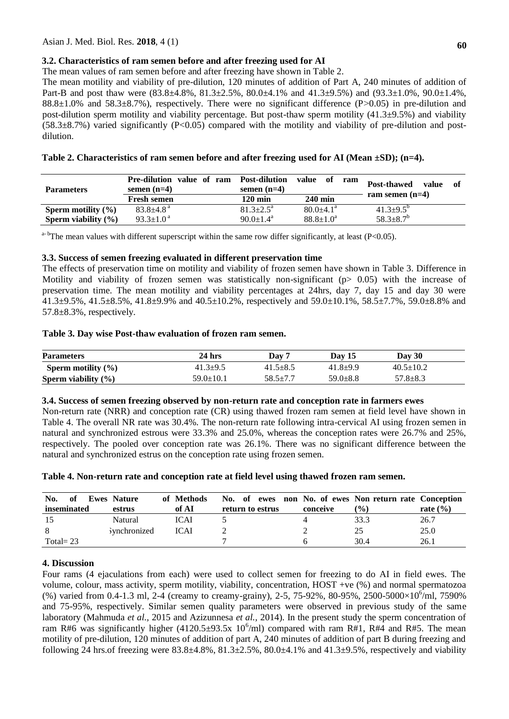# **3.2. Characteristics of ram semen before and after freezing used for AI**

The mean values of ram semen before and after freezing have shown in Table 2.

The mean motility and viability of pre-dilution, 120 minutes of addition of Part A, 240 minutes of addition of Part-B and post thaw were (83.8±4.8%, 81.3±2.5%, 80.0±4.1% and 41.3±9.5%) and (93.3±1.0%, 90.0±1.4%,  $88.8\pm1.0\%$  and  $58.3\pm8.7\%$ ), respectively. There were no significant difference (P $>0.05$ ) in pre-dilution and post-dilution sperm motility and viability percentage. But post-thaw sperm motility  $(41.3\pm9.5\%)$  and viability  $(58.3\pm8.7\%)$  varied significantly (P<0.05) compared with the motility and viability of pre-dilution and postdilution.

| Table 2. Characteristics of ram semen before and after freezing used for AI (Mean $\pm SD$ ); (n=4). |  |  |  |
|------------------------------------------------------------------------------------------------------|--|--|--|
|                                                                                                      |  |  |  |

| <b>Parameters</b>       | value of ram Post-dilution<br><b>Pre-dilution</b><br>semen $(n=4)$ |  | semen $(n=4)$             | -of<br>value<br>ram |  | Post-thawed<br>value | - of |
|-------------------------|--------------------------------------------------------------------|--|---------------------------|---------------------|--|----------------------|------|
|                         | <b>Fresh semen</b>                                                 |  | $120 \text{ min}$         | $240 \text{ min}$   |  | ram semen $(n=4)$    |      |
| Sperm motility $(\%)$   | $83.8 + 4.8$ <sup>a</sup>                                          |  | $81.3 \pm 2.5^{\circ}$    | $80.0 + 4.1^a$      |  | $41.3 + 9.5^{b}$     |      |
| Sperm viability $(\% )$ | $93.3 \pm 1.0^{\text{a}}$                                          |  | $90.0 \pm 1.4^{\text{a}}$ | $88.8 \pm 1.0^a$    |  | $58.3 \pm 8.7^b$     |      |

 $a-b$ The mean values with different superscript within the same row differ significantly, at least (P<0.05).

## **3.3. Success of semen freezing evaluated in different preservation time**

The effects of preservation time on motility and viability of frozen semen have shown in Table 3. Difference in Motility and viability of frozen semen was statistically non-significant (p> 0.05) with the increase of preservation time. The mean motility and viability percentages at 24hrs, day 7, day 15 and day 30 were 41.3±9.5%, 41.5±8.5%, 41.8±9.9% and 40.5±10.2%, respectively and 59.0±10.1%, 58.5±7.7%, 59.0±8.8% and 57.8±8.3%, respectively.

# **Table 3. Day wise Post-thaw evaluation of frozen ram semen.**

| <b>Parameters</b>       | 24 hrs          | Day 7          | Day $15$       | Day 30          |  |
|-------------------------|-----------------|----------------|----------------|-----------------|--|
| Sperm motility $(\% )$  | $41.3+9.5$      | $41.5 \pm 8.5$ | $41.8 + 9.9$   | $40.5 \pm 10.2$ |  |
| Sperm viability $(\% )$ | $59.0 \pm 10.1$ | $58.5 \pm 7.7$ | $59.0 \pm 8.8$ | $57.8 \pm 8.3$  |  |

## **3.4. Success of semen freezing observed by non-return rate and conception rate in farmers ewes**

Non-return rate (NRR) and conception rate (CR) using thawed frozen ram semen at field level have shown in Table 4. The overall NR rate was 30.4%. The non-return rate following intra-cervical AI using frozen semen in natural and synchronized estrous were 33.3% and 25.0%, whereas the conception rates were 26.7% and 25%, respectively. The pooled over conception rate was 26.1%. There was no significant difference between the natural and synchronized estrus on the conception rate using frozen semen.

|  |  | Table 4. Non-return rate and conception rate at field level using thawed frozen ram semen. |  |
|--|--|--------------------------------------------------------------------------------------------|--|
|--|--|--------------------------------------------------------------------------------------------|--|

| No.<br>of<br>inseminated | <b>Ewes Nature</b><br>estrus | of Methods<br>of AI | No. of ewes non No. of ewes Non return rate Conception<br>return to estrus | conceive | $\binom{0}{0}$ | rate $(\% )$ |
|--------------------------|------------------------------|---------------------|----------------------------------------------------------------------------|----------|----------------|--------------|
| 15                       | Natural                      | <b>ICAI</b>         |                                                                            |          | 33.3           | 26.7         |
|                          | <i>synchronized</i>          | <b>ICAI</b>         |                                                                            |          | 25             | 25.0         |
| Total= $23$              |                              |                     |                                                                            |          | 30.4           | 26.1         |

## **4. Discussion**

Four rams (4 ejaculations from each) were used to collect semen for freezing to do AI in field ewes. The volume, colour, mass activity, sperm motility, viability, concentration, HOST +ve (%) and normal spermatozoa (%) varied from 0.4-1.3 ml, 2-4 (creamy to creamy-grainy), 2-5, 75-92%, 80-95%, 2500-5000×10<sup>6</sup>/ml, 7590% and 75-95%, respectively. Similar semen quality parameters were observed in previous study of the same laboratory (Mahmuda *et al.,* 2015 and Azizunnesa *et al.,* 2014). In the present study the sperm concentration of ram R#6 was significantly higher  $(4120.5\pm93.5x\;10^6\text{/ml})$  compared with ram R#1, R#4 and R#5. The mean motility of pre-dilution, 120 minutes of addition of part A, 240 minutes of addition of part B during freezing and following 24 hrs.of freezing were  $83.8\pm4.8\%$ ,  $81.3\pm2.5\%$ ,  $80.0\pm4.1\%$  and  $41.3\pm9.5\%$ , respectively and viability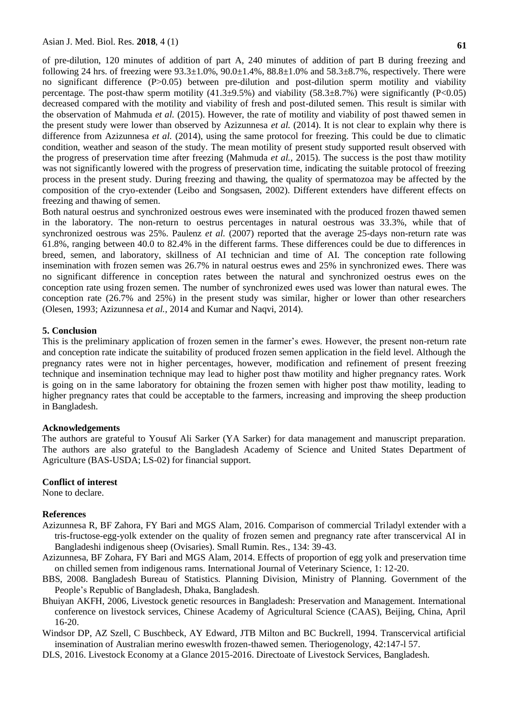of pre-dilution, 120 minutes of addition of part A, 240 minutes of addition of part B during freezing and following 24 hrs. of freezing were  $93.3\pm1.0\%$ ,  $90.0\pm1.4\%$ ,  $88.8\pm1.0\%$  and  $58.3\pm8.7\%$ , respectively. There were no significant difference (P>0.05) between pre-dilution and post-dilution sperm motility and viability percentage. The post-thaw sperm motility  $(41.3\pm9.5\%)$  and viability  $(58.3\pm8.7\%)$  were significantly (P<0.05) decreased compared with the motility and viability of fresh and post-diluted semen. This result is similar with the observation of Mahmuda *et al.* (2015). However, the rate of motility and viability of post thawed semen in the present study were lower than observed by Azizunnesa *et al.* (2014). It is not clear to explain why there is difference from Azizunnesa *et al.* (2014), using the same protocol for freezing. This could be due to climatic condition, weather and season of the study. The mean motility of present study supported result observed with the progress of preservation time after freezing (Mahmuda *et al.,* 2015). The success is the post thaw motility was not significantly lowered with the progress of preservation time, indicating the suitable protocol of freezing process in the present study. During freezing and thawing, the quality of spermatozoa may be affected by the composition of the cryo-extender (Leibo and Songsasen, 2002). Different extenders have different effects on freezing and thawing of semen.

Both natural oestrus and synchronized oestrous ewes were inseminated with the produced frozen thawed semen in the laboratory. The non-return to oestrus percentages in natural oestrous was 33.3%, while that of synchronized oestrous was 25%. Paulenz *et al.* (2007) reported that the average 25-days non-return rate was 61.8%, ranging between 40.0 to 82.4% in the different farms. These differences could be due to differences in breed, semen, and laboratory, skillness of AI technician and time of AI. The conception rate following insemination with frozen semen was 26.7% in natural oestrus ewes and 25% in synchronized ewes. There was no significant difference in conception rates between the natural and synchronized oestrus ewes on the conception rate using frozen semen. The number of synchronized ewes used was lower than natural ewes. The conception rate (26.7% and 25%) in the present study was similar, higher or lower than other researchers (Olesen, 1993; Azizunnesa *et al.,* 2014 and Kumar and Naqvi, 2014).

# **5. Conclusion**

This is the preliminary application of frozen semen in the farmer's ewes. However, the present non-return rate and conception rate indicate the suitability of produced frozen semen application in the field level. Although the pregnancy rates were not in higher percentages, however, modification and refinement of present freezing technique and insemination technique may lead to higher post thaw motility and higher pregnancy rates. Work is going on in the same laboratory for obtaining the frozen semen with higher post thaw motility, leading to higher pregnancy rates that could be acceptable to the farmers, increasing and improving the sheep production in Bangladesh.

## **Acknowledgements**

The authors are grateful to Yousuf Ali Sarker (YA Sarker) for data management and manuscript preparation. The authors are also grateful to the Bangladesh Academy of Science and United States Department of Agriculture (BAS-USDA; LS-02) for financial support.

# **Conflict of interest**

None to declare.

## **References**

- Azizunnesa R, BF Zahora, FY Bari and MGS Alam, 2016. Comparison of commercial Triladyl extender with a tris-fructose-egg-yolk extender on the quality of frozen semen and pregnancy rate after transcervical AI in Bangladeshi indigenous sheep (Ovisaries). Small Rumin. Res., 134: 39-43.
- Azizunnesa, BF Zohara, FY Bari and MGS Alam, 2014. Effects of proportion of egg yolk and preservation time on chilled semen from indigenous rams. International Journal of Veterinary Science, 1: 12-20.
- BBS, 2008. Bangladesh Bureau of Statistics. Planning Division, Ministry of Planning. Government of the People's Republic of Bangladesh, Dhaka, Bangladesh.
- Bhuiyan AKFH, 2006, Livestock genetic resources in Bangladesh: Preservation and Management. International conference on livestock services, Chinese Academy of Agricultural Science (CAAS), Beijing, China, April 16-20.
- Windsor DP, AZ Szell, C Buschbeck, AY Edward, JTB Milton and BC Buckrell, 1994. Transcervical artificial insemination of Australian merino eweswlth frozen-thawed semen. Theriogenology, 42:147-l 57.
- DLS, 2016. Livestock Economy at a Glance 2015-2016. Directoate of Livestock Services, Bangladesh.